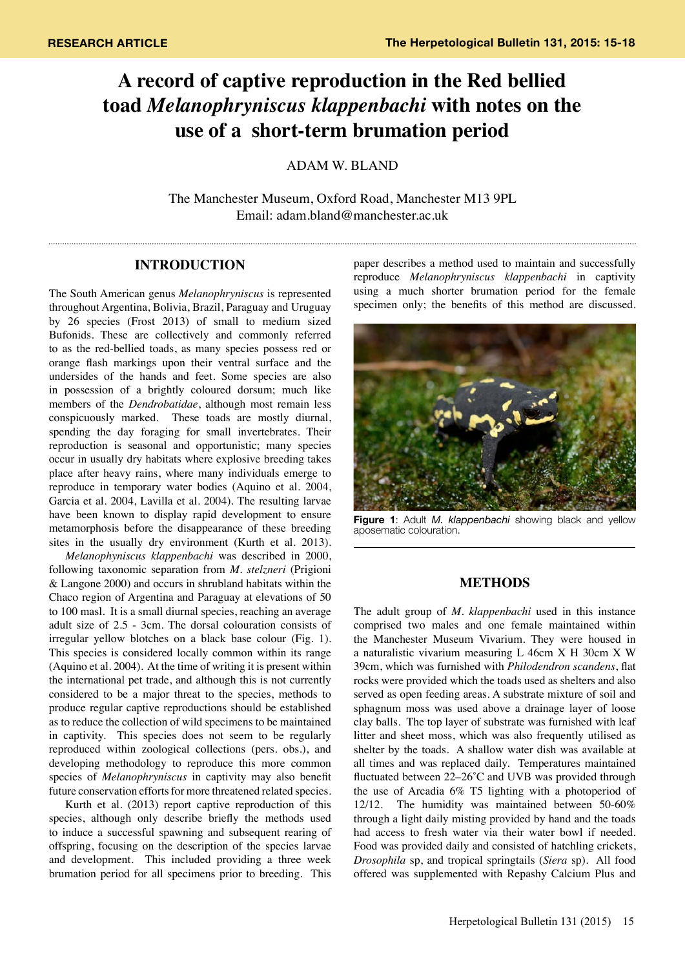# **A record of captive reproduction in the Red bellied toad** *Melanophryniscus klappenbachi* **with notes on the use of a short-term brumation period**

ADAM W. BLAND

The Manchester Museum, Oxford Road, Manchester M13 9PL Email: adam.bland@manchester.ac.uk

## **INTRODUCTION**

The South American genus *Melanophryniscus* is represented throughout Argentina, Bolivia, Brazil, Paraguay and Uruguay by 26 species (Frost 2013) of small to medium sized Bufonids. These are collectively and commonly referred to as the red-bellied toads, as many species possess red or orange flash markings upon their ventral surface and the undersides of the hands and feet. Some species are also in possession of a brightly coloured dorsum; much like members of the *Dendrobatidae*, although most remain less conspicuously marked. These toads are mostly diurnal, spending the day foraging for small invertebrates. Their reproduction is seasonal and opportunistic; many species occur in usually dry habitats where explosive breeding takes place after heavy rains, where many individuals emerge to reproduce in temporary water bodies (Aquino et al. 2004, Garcia et al. 2004, Lavilla et al. 2004). The resulting larvae have been known to display rapid development to ensure metamorphosis before the disappearance of these breeding sites in the usually dry environment (Kurth et al. 2013).

*Melanophyniscus klappenbachi* was described in 2000, following taxonomic separation from *M. stelzneri* (Prigioni & Langone 2000) and occurs in shrubland habitats within the Chaco region of Argentina and Paraguay at elevations of 50 to 100 masl. It is a small diurnal species, reaching an average adult size of 2.5 - 3cm. The dorsal colouration consists of irregular yellow blotches on a black base colour (Fig. 1). This species is considered locally common within its range (Aquino et al. 2004). At the time of writing it is present within the international pet trade, and although this is not currently considered to be a major threat to the species, methods to produce regular captive reproductions should be established as to reduce the collection of wild specimens to be maintained in captivity. This species does not seem to be regularly reproduced within zoological collections (pers. obs.), and developing methodology to reproduce this more common species of *Melanophryniscus* in captivity may also benefit future conservation efforts for more threatened related species.

Kurth et al. (2013) report captive reproduction of this species, although only describe briefly the methods used to induce a successful spawning and subsequent rearing of offspring, focusing on the description of the species larvae and development. This included providing a three week brumation period for all specimens prior to breeding. This

paper describes a method used to maintain and successfully reproduce *Melanophryniscus klappenbachi* in captivity using a much shorter brumation period for the female specimen only; the benefits of this method are discussed.



**Figure 1**: Adult *M. klappenbachi* showing black and yellow aposematic colouration.

## **METHODS**

The adult group of *M. klappenbachi* used in this instance comprised two males and one female maintained within the Manchester Museum Vivarium. They were housed in a naturalistic vivarium measuring L 46cm X H 30cm X W 39cm, which was furnished with *Philodendron scandens*, flat rocks were provided which the toads used as shelters and also served as open feeding areas. A substrate mixture of soil and sphagnum moss was used above a drainage layer of loose clay balls. The top layer of substrate was furnished with leaf litter and sheet moss, which was also frequently utilised as shelter by the toads. A shallow water dish was available at all times and was replaced daily. Temperatures maintained fluctuated between 22–26̊C and UVB was provided through the use of Arcadia 6% T5 lighting with a photoperiod of 12/12. The humidity was maintained between 50-60% through a light daily misting provided by hand and the toads had access to fresh water via their water bowl if needed. Food was provided daily and consisted of hatchling crickets, *Drosophila* sp, and tropical springtails (*Siera* sp). All food offered was supplemented with Repashy Calcium Plus and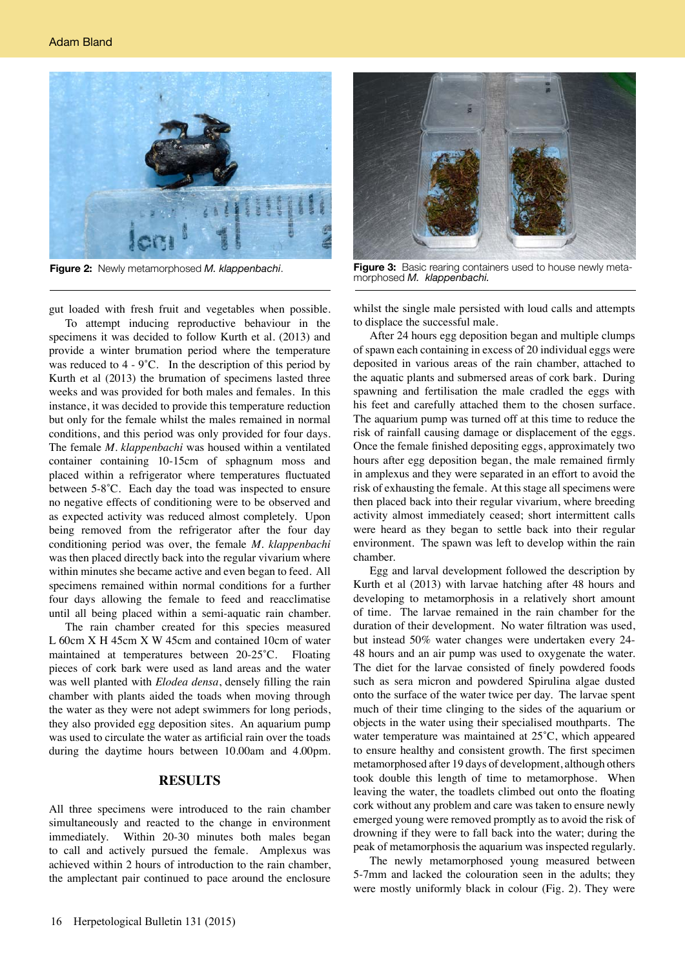

gut loaded with fresh fruit and vegetables when possible.

To attempt inducing reproductive behaviour in the specimens it was decided to follow Kurth et al. (2013) and provide a winter brumation period where the temperature was reduced to  $4 - 9^{\circ}$ C. In the description of this period by Kurth et al (2013) the brumation of specimens lasted three weeks and was provided for both males and females. In this instance, it was decided to provide this temperature reduction but only for the female whilst the males remained in normal conditions, and this period was only provided for four days. The female *M. klappenbachi* was housed within a ventilated container containing 10-15cm of sphagnum moss and placed within a refrigerator where temperatures fluctuated between 5-8̊C. Each day the toad was inspected to ensure no negative effects of conditioning were to be observed and as expected activity was reduced almost completely. Upon being removed from the refrigerator after the four day conditioning period was over, the female *M. klappenbachi* was then placed directly back into the regular vivarium where within minutes she became active and even began to feed. All specimens remained within normal conditions for a further four days allowing the female to feed and reacclimatise until all being placed within a semi-aquatic rain chamber.

The rain chamber created for this species measured L 60cm X H 45cm X W 45cm and contained 10cm of water maintained at temperatures between 20-25̊C. Floating pieces of cork bark were used as land areas and the water was well planted with *Elodea densa*, densely filling the rain chamber with plants aided the toads when moving through the water as they were not adept swimmers for long periods, they also provided egg deposition sites. An aquarium pump was used to circulate the water as artificial rain over the toads during the daytime hours between 10.00am and 4.00pm.

#### **RESULTS**

All three specimens were introduced to the rain chamber simultaneously and reacted to the change in environment immediately. Within 20-30 minutes both males began to call and actively pursued the female. Amplexus was achieved within 2 hours of introduction to the rain chamber, the amplectant pair continued to pace around the enclosure



**Figure 2:** Newly metamorphosed *M. klappenbachi*. **Figure 3:** Basic rearing containers used to house newly metamorphosed *M. klappenbachi.*

whilst the single male persisted with loud calls and attempts to displace the successful male.

After 24 hours egg deposition began and multiple clumps of spawn each containing in excess of 20 individual eggs were deposited in various areas of the rain chamber, attached to the aquatic plants and submersed areas of cork bark. During spawning and fertilisation the male cradled the eggs with his feet and carefully attached them to the chosen surface. The aquarium pump was turned off at this time to reduce the risk of rainfall causing damage or displacement of the eggs. Once the female finished depositing eggs, approximately two hours after egg deposition began, the male remained firmly in amplexus and they were separated in an effort to avoid the risk of exhausting the female. At this stage all specimens were then placed back into their regular vivarium, where breeding activity almost immediately ceased; short intermittent calls were heard as they began to settle back into their regular environment. The spawn was left to develop within the rain chamber.

Egg and larval development followed the description by Kurth et al (2013) with larvae hatching after 48 hours and developing to metamorphosis in a relatively short amount of time. The larvae remained in the rain chamber for the duration of their development. No water filtration was used, but instead 50% water changes were undertaken every 24- 48 hours and an air pump was used to oxygenate the water. The diet for the larvae consisted of finely powdered foods such as sera micron and powdered Spirulina algae dusted onto the surface of the water twice per day. The larvae spent much of their time clinging to the sides of the aquarium or objects in the water using their specialised mouthparts. The water temperature was maintained at 25̊C, which appeared to ensure healthy and consistent growth. The first specimen metamorphosed after 19 days of development, although others took double this length of time to metamorphose. When leaving the water, the toadlets climbed out onto the floating cork without any problem and care was taken to ensure newly emerged young were removed promptly as to avoid the risk of drowning if they were to fall back into the water; during the peak of metamorphosis the aquarium was inspected regularly.

The newly metamorphosed young measured between 5-7mm and lacked the colouration seen in the adults; they were mostly uniformly black in colour (Fig. 2). They were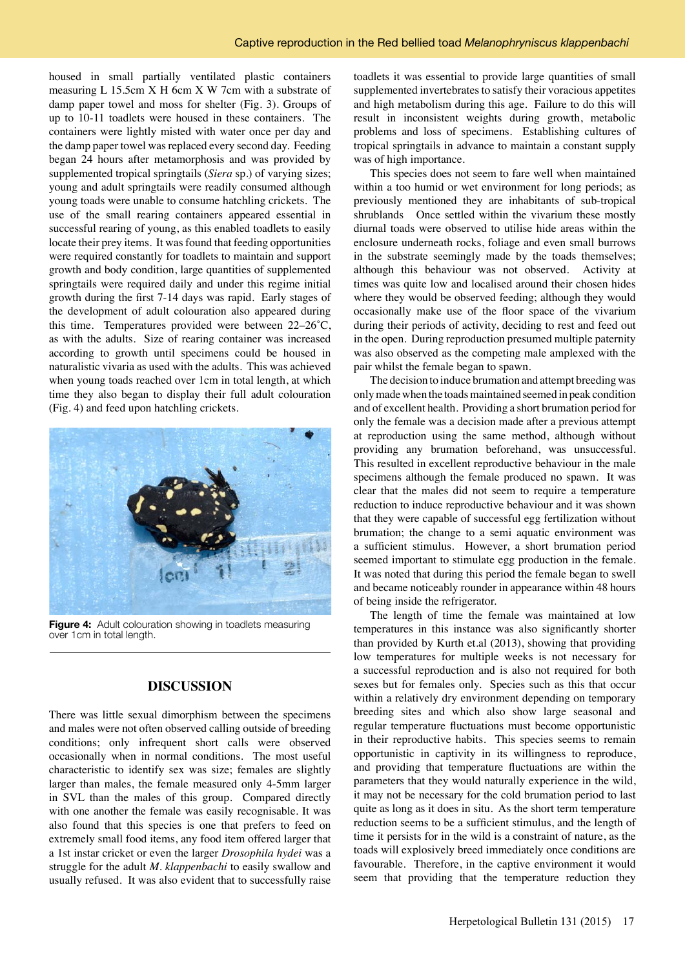housed in small partially ventilated plastic containers measuring L 15.5cm X H 6cm X W 7cm with a substrate of damp paper towel and moss for shelter (Fig. 3). Groups of up to 10-11 toadlets were housed in these containers. The containers were lightly misted with water once per day and the damp paper towel was replaced every second day. Feeding began 24 hours after metamorphosis and was provided by supplemented tropical springtails (*Siera* sp.) of varying sizes; young and adult springtails were readily consumed although young toads were unable to consume hatchling crickets. The use of the small rearing containers appeared essential in successful rearing of young, as this enabled toadlets to easily locate their prey items. It was found that feeding opportunities were required constantly for toadlets to maintain and support growth and body condition, large quantities of supplemented springtails were required daily and under this regime initial growth during the first 7-14 days was rapid. Early stages of the development of adult colouration also appeared during this time. Temperatures provided were between 22–26˚C, as with the adults. Size of rearing container was increased according to growth until specimens could be housed in naturalistic vivaria as used with the adults. This was achieved when young toads reached over 1cm in total length, at which time they also began to display their full adult colouration (Fig. 4) and feed upon hatchling crickets.



**Figure 4:** Adult colouration showing in toadlets measuring over 1cm in total length.

# **DISCUSSION**

There was little sexual dimorphism between the specimens and males were not often observed calling outside of breeding conditions; only infrequent short calls were observed occasionally when in normal conditions. The most useful characteristic to identify sex was size; females are slightly larger than males, the female measured only 4-5mm larger in SVL than the males of this group. Compared directly with one another the female was easily recognisable. It was also found that this species is one that prefers to feed on extremely small food items, any food item offered larger that a 1st instar cricket or even the larger *Drosophila hydei* was a struggle for the adult *M. klappenbachi* to easily swallow and usually refused. It was also evident that to successfully raise

toadlets it was essential to provide large quantities of small supplemented invertebrates to satisfy their voracious appetites and high metabolism during this age. Failure to do this will result in inconsistent weights during growth, metabolic problems and loss of specimens. Establishing cultures of tropical springtails in advance to maintain a constant supply was of high importance.

This species does not seem to fare well when maintained within a too humid or wet environment for long periods; as previously mentioned they are inhabitants of sub-tropical shrublands Once settled within the vivarium these mostly diurnal toads were observed to utilise hide areas within the enclosure underneath rocks, foliage and even small burrows in the substrate seemingly made by the toads themselves; although this behaviour was not observed. Activity at times was quite low and localised around their chosen hides where they would be observed feeding; although they would occasionally make use of the floor space of the vivarium during their periods of activity, deciding to rest and feed out in the open. During reproduction presumed multiple paternity was also observed as the competing male amplexed with the pair whilst the female began to spawn.

The decision to induce brumation and attempt breeding was only made when the toads maintained seemed in peak condition and of excellent health. Providing a short brumation period for only the female was a decision made after a previous attempt at reproduction using the same method, although without providing any brumation beforehand, was unsuccessful. This resulted in excellent reproductive behaviour in the male specimens although the female produced no spawn. It was clear that the males did not seem to require a temperature reduction to induce reproductive behaviour and it was shown that they were capable of successful egg fertilization without brumation; the change to a semi aquatic environment was a sufficient stimulus. However, a short brumation period seemed important to stimulate egg production in the female. It was noted that during this period the female began to swell and became noticeably rounder in appearance within 48 hours of being inside the refrigerator.

The length of time the female was maintained at low temperatures in this instance was also significantly shorter than provided by Kurth et.al (2013), showing that providing low temperatures for multiple weeks is not necessary for a successful reproduction and is also not required for both sexes but for females only. Species such as this that occur within a relatively dry environment depending on temporary breeding sites and which also show large seasonal and regular temperature fluctuations must become opportunistic in their reproductive habits. This species seems to remain opportunistic in captivity in its willingness to reproduce, and providing that temperature fluctuations are within the parameters that they would naturally experience in the wild, it may not be necessary for the cold brumation period to last quite as long as it does in situ. As the short term temperature reduction seems to be a sufficient stimulus, and the length of time it persists for in the wild is a constraint of nature, as the toads will explosively breed immediately once conditions are favourable. Therefore, in the captive environment it would seem that providing that the temperature reduction they